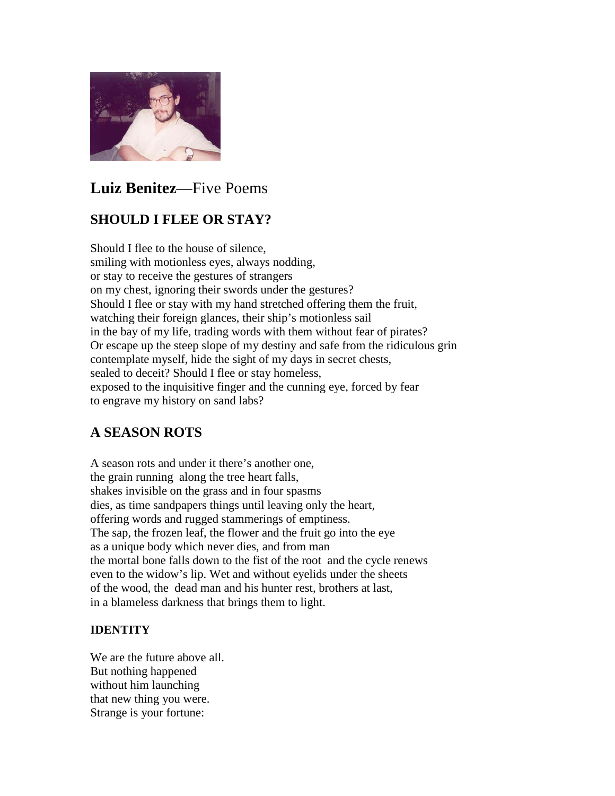

# **Luiz Benitez**—Five Poems

## **SHOULD I FLEE OR STAY?**

Should I flee to the house of silence, smiling with motionless eyes, always nodding, or stay to receive the gestures of strangers on my chest, ignoring their swords under the gestures? Should I flee or stay with my hand stretched offering them the fruit, watching their foreign glances, their ship's motionless sail in the bay of my life, trading words with them without fear of pirates? Or escape up the steep slope of my destiny and safe from the ridiculous grin contemplate myself, hide the sight of my days in secret chests, sealed to deceit? Should I flee or stay homeless, exposed to the inquisitive finger and the cunning eye, forced by fear to engrave my history on sand labs?

### **A SEASON ROTS**

A season rots and under it there's another one, the grain running along the tree heart falls, shakes invisible on the grass and in four spasms dies, as time sandpapers things until leaving only the heart, offering words and rugged stammerings of emptiness. The sap, the frozen leaf, the flower and the fruit go into the eye as a unique body which never dies, and from man the mortal bone falls down to the fist of the root and the cycle renews even to the widow's lip. Wet and without eyelids under the sheets of the wood, the dead man and his hunter rest, brothers at last, in a blameless darkness that brings them to light.

### **IDENTITY**

We are the future above all. But nothing happened without him launching that new thing you were. Strange is your fortune: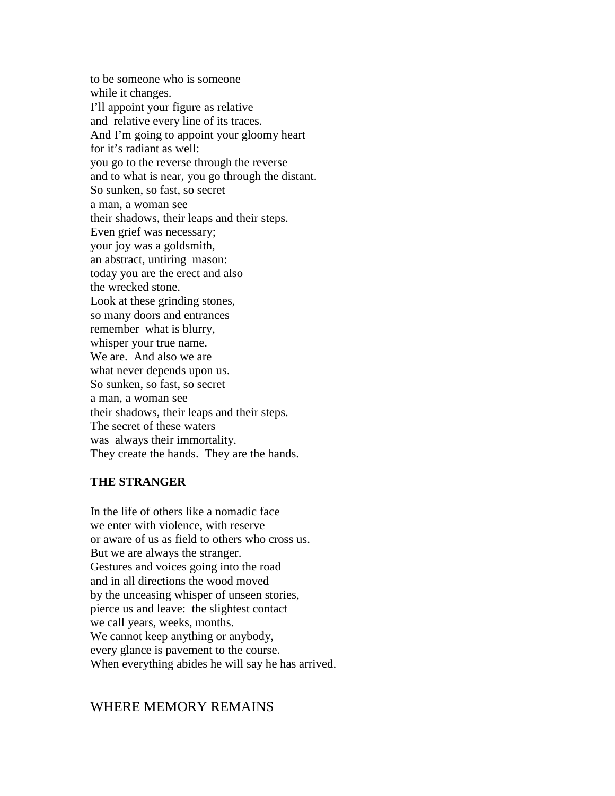to be someone who is someone while it changes. I'll appoint your figure as relative and relative every line of its traces. And I'm going to appoint your gloomy heart for it's radiant as well: you go to the reverse through the reverse and to what is near, you go through the distant. So sunken, so fast, so secret a man, a woman see their shadows, their leaps and their steps. Even grief was necessary; your joy was a goldsmith, an abstract, untiring mason: today you are the erect and also the wrecked stone. Look at these grinding stones, so many doors and entrances remember what is blurry, whisper your true name. We are. And also we are what never depends upon us. So sunken, so fast, so secret a man, a woman see their shadows, their leaps and their steps. The secret of these waters was always their immortality. They create the hands. They are the hands.

#### **THE STRANGER**

In the life of others like a nomadic face we enter with violence, with reserve or aware of us as field to others who cross us. But we are always the stranger. Gestures and voices going into the road and in all directions the wood moved by the unceasing whisper of unseen stories, pierce us and leave: the slightest contact we call years, weeks, months. We cannot keep anything or anybody, every glance is pavement to the course. When everything abides he will say he has arrived.

#### WHERE MEMORY REMAINS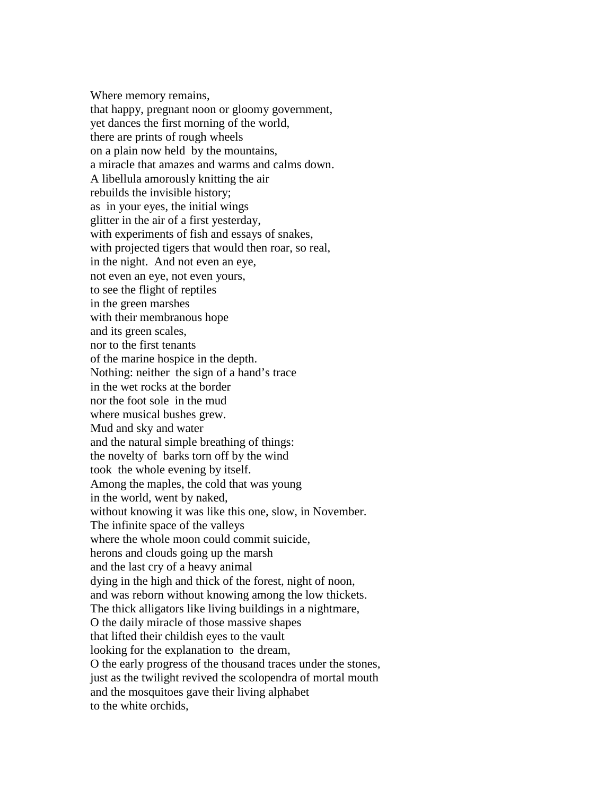Where memory remains, that happy, pregnant noon or gloomy government, yet dances the first morning of the world, there are prints of rough wheels on a plain now held by the mountains, a miracle that amazes and warms and calms down. A libellula amorously knitting the air rebuilds the invisible history; as in your eyes, the initial wings glitter in the air of a first yesterday, with experiments of fish and essays of snakes, with projected tigers that would then roar, so real, in the night. And not even an eye, not even an eye, not even yours, to see the flight of reptiles in the green marshes with their membranous hope and its green scales, nor to the first tenants of the marine hospice in the depth. Nothing: neither the sign of a hand's trace in the wet rocks at the border nor the foot sole in the mud where musical bushes grew. Mud and sky and water and the natural simple breathing of things: the novelty of barks torn off by the wind took the whole evening by itself. Among the maples, the cold that was young in the world, went by naked, without knowing it was like this one, slow, in November. The infinite space of the valleys where the whole moon could commit suicide, herons and clouds going up the marsh and the last cry of a heavy animal dying in the high and thick of the forest, night of noon, and was reborn without knowing among the low thickets. The thick alligators like living buildings in a nightmare, O the daily miracle of those massive shapes that lifted their childish eyes to the vault looking for the explanation to the dream, O the early progress of the thousand traces under the stones, just as the twilight revived the scolopendra of mortal mouth and the mosquitoes gave their living alphabet to the white orchids,